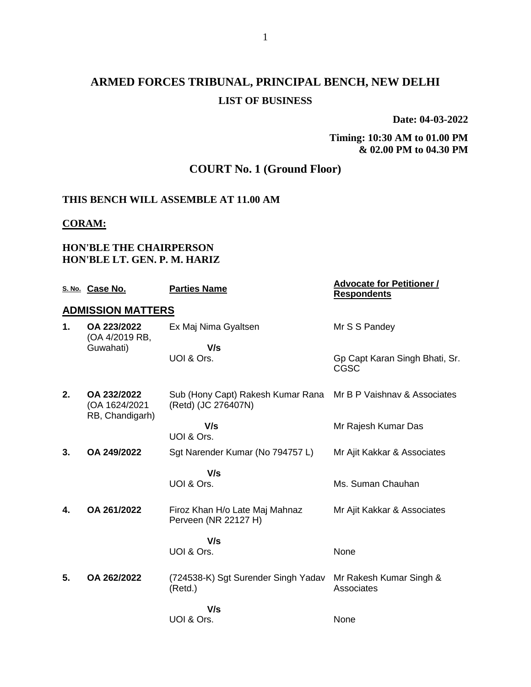# **ARMED FORCES TRIBUNAL, PRINCIPAL BENCH, NEW DELHI LIST OF BUSINESS**

**Date: 04-03-2022**

**Timing: 10:30 AM to 01.00 PM & 02.00 PM to 04.30 PM**

# **COURT No. 1 (Ground Floor)**

### **THIS BENCH WILL ASSEMBLE AT 11.00 AM**

#### **CORAM:**

## **HON'BLE THE CHAIRPERSON HON'BLE LT. GEN. P. M. HARIZ**

|    | S. No. Case No.                                 | <b>Parties Name</b>                                      | <b>Advocate for Petitioner /</b><br><b>Respondents</b> |
|----|-------------------------------------------------|----------------------------------------------------------|--------------------------------------------------------|
|    | <b>ADMISSION MATTERS</b>                        |                                                          |                                                        |
| 1. | OA 223/2022<br>(OA 4/2019 RB,                   | Ex Maj Nima Gyaltsen                                     | Mr S S Pandey                                          |
|    | Guwahati)                                       | V/s                                                      |                                                        |
|    |                                                 | UOI & Ors.                                               | Gp Capt Karan Singh Bhati, Sr.<br><b>CGSC</b>          |
| 2. | OA 232/2022<br>(OA 1624/2021<br>RB, Chandigarh) | Sub (Hony Capt) Rakesh Kumar Rana<br>(Retd) (JC 276407N) | Mr B P Vaishnav & Associates                           |
|    |                                                 | V/s<br>UOI & Ors.                                        | Mr Rajesh Kumar Das                                    |
| 3. | OA 249/2022                                     | Sgt Narender Kumar (No 794757 L)                         | Mr Ajit Kakkar & Associates                            |
|    |                                                 | V/s                                                      |                                                        |
|    |                                                 | UOI & Ors.                                               | Ms. Suman Chauhan                                      |
| 4. | OA 261/2022                                     | Firoz Khan H/o Late Maj Mahnaz<br>Perveen (NR 22127 H)   | Mr Ajit Kakkar & Associates                            |
|    |                                                 | V/s                                                      |                                                        |
|    |                                                 | UOI & Ors.                                               | None                                                   |
| 5. | OA 262/2022                                     | (724538-K) Sgt Surender Singh Yadav<br>(Retd.)           | Mr Rakesh Kumar Singh &<br>Associates                  |
|    |                                                 | V/s                                                      |                                                        |
|    |                                                 | UOI & Ors.                                               | None                                                   |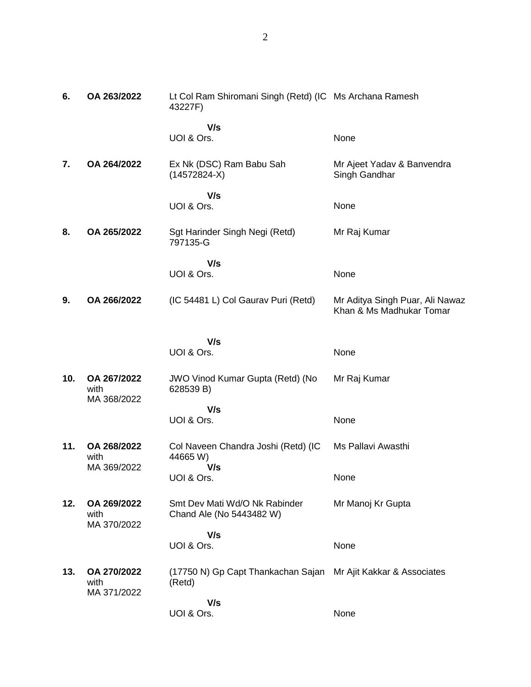| 6.  | OA 263/2022                        | Lt Col Ram Shiromani Singh (Retd) (IC Ms Archana Ramesh<br>43227F)       |                                                             |
|-----|------------------------------------|--------------------------------------------------------------------------|-------------------------------------------------------------|
|     |                                    | V/s<br>UOI & Ors.                                                        | None                                                        |
| 7.  | OA 264/2022                        | Ex Nk (DSC) Ram Babu Sah<br>$(14572824-X)$                               | Mr Ajeet Yadav & Banvendra<br>Singh Gandhar                 |
|     |                                    | V/s<br>UOI & Ors.                                                        | None                                                        |
| 8.  | OA 265/2022                        | Sgt Harinder Singh Negi (Retd)<br>797135-G                               | Mr Raj Kumar                                                |
|     |                                    | V/s<br>UOI & Ors.                                                        | None                                                        |
| 9.  | OA 266/2022                        | (IC 54481 L) Col Gaurav Puri (Retd)                                      | Mr Aditya Singh Puar, Ali Nawaz<br>Khan & Ms Madhukar Tomar |
|     |                                    | V/s                                                                      |                                                             |
|     |                                    | UOI & Ors.                                                               | None                                                        |
| 10. | OA 267/2022<br>with<br>MA 368/2022 | <b>JWO Vinod Kumar Gupta (Retd) (No</b><br>628539 B)                     | Mr Raj Kumar                                                |
|     |                                    | V/s<br>UOI & Ors.                                                        | None                                                        |
| 11. | OA 268/2022<br>with<br>MA 369/2022 | Col Naveen Chandra Joshi (Retd) (IC<br>44665 W)                          | Ms Pallavi Awasthi                                          |
|     |                                    | V/s<br>UOI & Ors.                                                        | None                                                        |
| 12. | OA 269/2022<br>with<br>MA 370/2022 | Smt Dev Mati Wd/O Nk Rabinder<br>Chand Ale (No 5443482 W)                | Mr Manoj Kr Gupta                                           |
|     |                                    | V/s<br>UOI & Ors.                                                        | None                                                        |
| 13. | OA 270/2022<br>with<br>MA 371/2022 | (17750 N) Gp Capt Thankachan Sajan Mr Ajit Kakkar & Associates<br>(Retd) |                                                             |
|     |                                    | V/s<br>UOI & Ors.                                                        | None                                                        |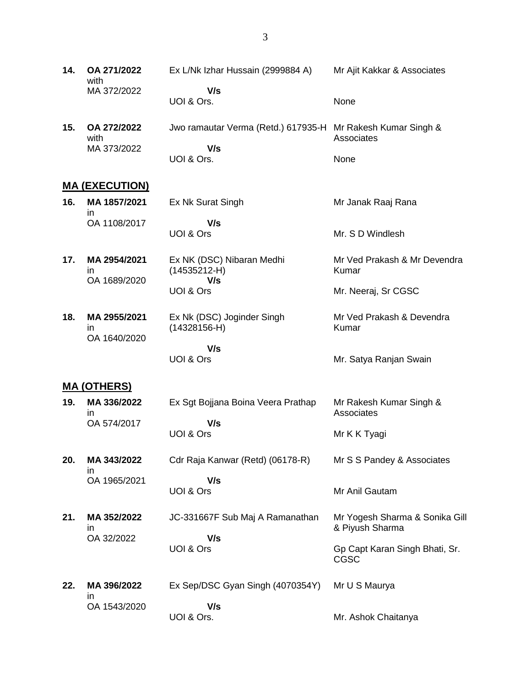- **14. OA 271/2022** with MA 372/2022 Ex L/Nk Izhar Hussain (2999884 A)  **V/s** UOI & Ors. Mr Ajit Kakkar & Associates None
- **15. OA 272/2022** with MA 373/2022 Jwo ramautar Verma (Retd.) 617935-H Mr Rakesh Kumar Singh &  **V/s** UOI & Ors. **Associates** None

### **MA (EXECUTION)**

| 16. | MA 1857/2021<br>ın | Ex Nk Surat Singh | Mr Janak Raaj Rana |
|-----|--------------------|-------------------|--------------------|
|     | OA 1108/2017       | V/s<br>UOI & Ors  | Mr. S D Windlesh   |

**17. MA 2954/2021** in OA 1689/2020 Ex NK (DSC) Nibaran Medhi (14535212-H)  **V/s** UOI & Ors Mr Ved Prakash & Mr Devendra Kumar Mr. Neeraj, Sr CGSC

Mr. Satya Ranjan Swain

Mr Anil Gautam

**18. MA 2955/2021** in OA 1640/2020 Ex Nk (DSC) Joginder Singh (14328156-H)  **V/s** Mr Ved Prakash & Devendra Kumar

### **MA (OTHERS)**

- **19. MA 336/2022** in OA 574/2017 Ex Sgt Bojjana Boina Veera Prathap  **V/s** UOI & Ors Mr Rakesh Kumar Singh & **Associates** Mr K K Tyagi
- **20. MA 343/2022** in Cdr Raja Kanwar (Retd) (06178-R) Mr S S Pandey & Associates

 **V/s** UOI & Ors

UOI & Ors

**21. MA 352/2022** in OA 32/2022

OA 1965/2021

- JC-331667F Sub Maj A Ramanathan  **V/s** UOI & Ors Mr Yogesh Sharma & Sonika Gill & Piyush Sharma Gp Capt Karan Singh Bhati, Sr. CGSC
- **22. MA 396/2022**  in OA 1543/2020 Ex Sep/DSC Gyan Singh (4070354Y)  **V/s** UOI & Ors. Mr U S Maurya Mr. Ashok Chaitanya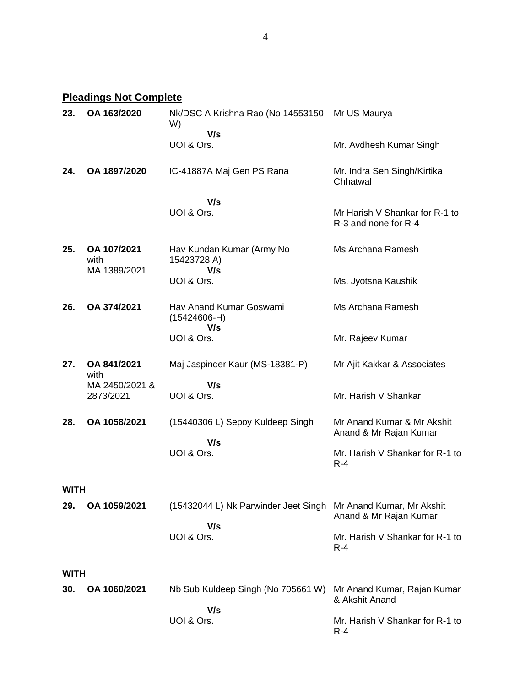**Pleadings Not Complete**

| 23.         | OA 163/2020                         | Nk/DSC A Krishna Rao (No 14553150<br>W)          | Mr US Maurya                                           |
|-------------|-------------------------------------|--------------------------------------------------|--------------------------------------------------------|
|             |                                     | V/s<br>UOI & Ors.                                | Mr. Avdhesh Kumar Singh                                |
| 24.         | OA 1897/2020                        | IC-41887A Maj Gen PS Rana                        | Mr. Indra Sen Singh/Kirtika<br>Chhatwal                |
|             |                                     | V/s<br>UOI & Ors.                                | Mr Harish V Shankar for R-1 to<br>R-3 and none for R-4 |
| 25.         | OA 107/2021<br>with<br>MA 1389/2021 | Hav Kundan Kumar (Army No<br>15423728 A)<br>V/s  | Ms Archana Ramesh                                      |
|             |                                     | UOI & Ors.                                       | Ms. Jyotsna Kaushik                                    |
| 26.         | OA 374/2021                         | Hav Anand Kumar Goswami<br>$(15424606-H)$<br>V/s | Ms Archana Ramesh                                      |
|             |                                     | UOI & Ors.                                       | Mr. Rajeev Kumar                                       |
| 27.         | OA 841/2021<br>with                 | Maj Jaspinder Kaur (MS-18381-P)                  | Mr Ajit Kakkar & Associates                            |
|             | MA 2450/2021 &<br>2873/2021         | V/s<br>UOI & Ors.                                | Mr. Harish V Shankar                                   |
| 28.         | OA 1058/2021                        | (15440306 L) Sepoy Kuldeep Singh                 | Mr Anand Kumar & Mr Akshit<br>Anand & Mr Rajan Kumar   |
|             |                                     | V/s<br>UOI & Ors.                                | Mr. Harish V Shankar for R-1 to<br>$R - 4$             |
| <b>WITH</b> |                                     |                                                  |                                                        |
| 29.         | OA 1059/2021                        | (15432044 L) Nk Parwinder Jeet Singh             | Mr Anand Kumar, Mr Akshit<br>Anand & Mr Rajan Kumar    |
|             |                                     | V/s<br>UOI & Ors.                                | Mr. Harish V Shankar for R-1 to<br>$R-4$               |
| <b>WITH</b> |                                     |                                                  |                                                        |
| 30.         | OA 1060/2021                        | Nb Sub Kuldeep Singh (No 705661 W)               | Mr Anand Kumar, Rajan Kumar<br>& Akshit Anand          |
|             |                                     | V/s<br>UOI & Ors.                                | Mr. Harish V Shankar for R-1 to<br>$R-4$               |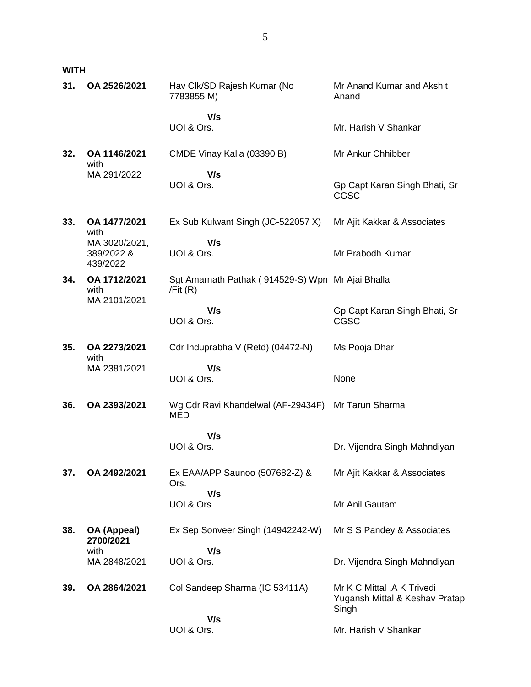**WITH**

| 31. | OA 2526/2021                            | Hav Clk/SD Rajesh Kumar (No<br>7783855 M)                       | Mr Anand Kumar and Akshit<br>Anand                                     |
|-----|-----------------------------------------|-----------------------------------------------------------------|------------------------------------------------------------------------|
|     |                                         | V/s                                                             |                                                                        |
|     |                                         | UOI & Ors.                                                      | Mr. Harish V Shankar                                                   |
| 32. | OA 1146/2021<br>with                    | CMDE Vinay Kalia (03390 B)                                      | Mr Ankur Chhibber                                                      |
|     | MA 291/2022                             | V/s<br>UOI & Ors.                                               | Gp Capt Karan Singh Bhati, Sr<br><b>CGSC</b>                           |
| 33. | OA 1477/2021<br>with                    | Ex Sub Kulwant Singh (JC-522057 X)                              | Mr Ajit Kakkar & Associates                                            |
|     | MA 3020/2021,<br>389/2022 &<br>439/2022 | V/s<br>UOI & Ors.                                               | Mr Prabodh Kumar                                                       |
| 34. | OA 1712/2021<br>with<br>MA 2101/2021    | Sgt Amarnath Pathak (914529-S) Wpn Mr Ajai Bhalla<br>/Fit $(R)$ |                                                                        |
|     |                                         | V/s<br>UOI & Ors.                                               | Gp Capt Karan Singh Bhati, Sr<br><b>CGSC</b>                           |
| 35. | OA 2273/2021<br>with                    | Cdr Induprabha V (Retd) (04472-N)                               | Ms Pooja Dhar                                                          |
|     | MA 2381/2021                            | V/s<br>UOI & Ors.                                               | None                                                                   |
| 36. | OA 2393/2021                            | Wg Cdr Ravi Khandelwal (AF-29434F)<br><b>MED</b>                | Mr Tarun Sharma                                                        |
|     |                                         | V/s<br>UOI & Ors.                                               | Dr. Vijendra Singh Mahndiyan                                           |
| 37. | OA 2492/2021                            | Ex EAA/APP Saunoo (507682-Z) &<br>Ors.                          | Mr Ajit Kakkar & Associates                                            |
|     |                                         | V/s<br>UOI & Ors                                                | Mr Anil Gautam                                                         |
| 38. | OA (Appeal)<br>2700/2021                | Ex Sep Sonveer Singh (14942242-W)                               | Mr S S Pandey & Associates                                             |
|     | with<br>MA 2848/2021                    | V/s<br>UOI & Ors.                                               | Dr. Vijendra Singh Mahndiyan                                           |
| 39. | OA 2864/2021                            | Col Sandeep Sharma (IC 53411A)                                  | Mr K C Mittal , A K Trivedi<br>Yugansh Mittal & Keshav Pratap<br>Singh |
|     |                                         | V/s<br>UOI & Ors.                                               | Mr. Harish V Shankar                                                   |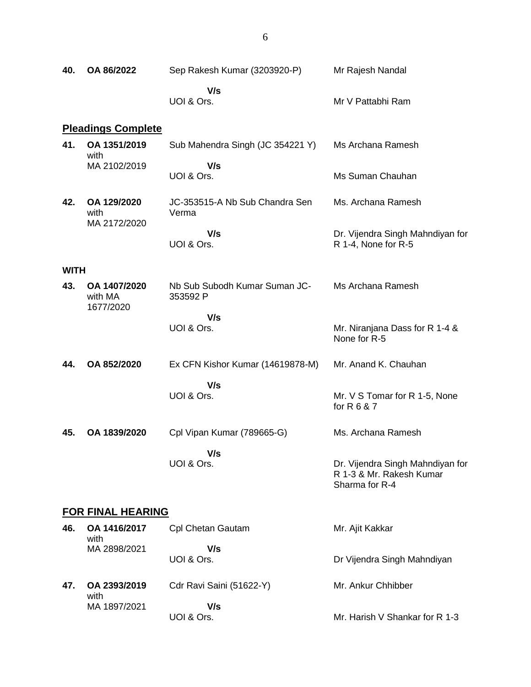| 40.         | OA 86/2022                           | Sep Rakesh Kumar (3203920-P)              | Mr Rajesh Nandal                                                               |
|-------------|--------------------------------------|-------------------------------------------|--------------------------------------------------------------------------------|
|             |                                      | V/s<br>UOI & Ors.                         | Mr V Pattabhi Ram                                                              |
|             | <b>Pleadings Complete</b>            |                                           |                                                                                |
| 41.         | OA 1351/2019<br>with                 | Sub Mahendra Singh (JC 354221 Y)          | Ms Archana Ramesh                                                              |
|             | MA 2102/2019                         | V/s<br>UOI & Ors.                         | Ms Suman Chauhan                                                               |
| 42.         | OA 129/2020<br>with<br>MA 2172/2020  | JC-353515-A Nb Sub Chandra Sen<br>Verma   | Ms. Archana Ramesh                                                             |
|             |                                      | V/s<br>UOI & Ors.                         | Dr. Vijendra Singh Mahndiyan for<br>R 1-4, None for R-5                        |
| <b>WITH</b> |                                      |                                           |                                                                                |
| 43.         | OA 1407/2020<br>with MA<br>1677/2020 | Nb Sub Subodh Kumar Suman JC-<br>353592 P | Ms Archana Ramesh                                                              |
|             |                                      | V/s<br>UOI & Ors.                         | Mr. Niranjana Dass for R 1-4 &<br>None for R-5                                 |
| 44.         | OA 852/2020                          | Ex CFN Kishor Kumar (14619878-M)          | Mr. Anand K. Chauhan                                                           |
|             |                                      | V/s<br>UOI & Ors.                         | Mr. V S Tomar for R 1-5, None<br>for R 6 & 7                                   |
| 45.         | OA 1839/2020                         | Cpl Vipan Kumar (789665-G)                | Ms. Archana Ramesh                                                             |
|             |                                      | V/s<br>UOI & Ors.                         | Dr. Vijendra Singh Mahndiyan for<br>R 1-3 & Mr. Rakesh Kumar<br>Sharma for R-4 |
|             | <b>FOR FINAL HEARING</b>             |                                           |                                                                                |
| 46.         | OA 1416/2017<br>with                 | Cpl Chetan Gautam                         | Mr. Ajit Kakkar                                                                |
|             | MA 2898/2021                         | V/s<br>UOI & Ors.                         | Dr Vijendra Singh Mahndiyan                                                    |
| 47.         | OA 2393/2019<br>with                 | Cdr Ravi Saini (51622-Y)                  | Mr. Ankur Chhibber                                                             |
|             | MA 1897/2021                         | V/s<br>UOI & Ors.                         | Mr. Harish V Shankar for R 1-3                                                 |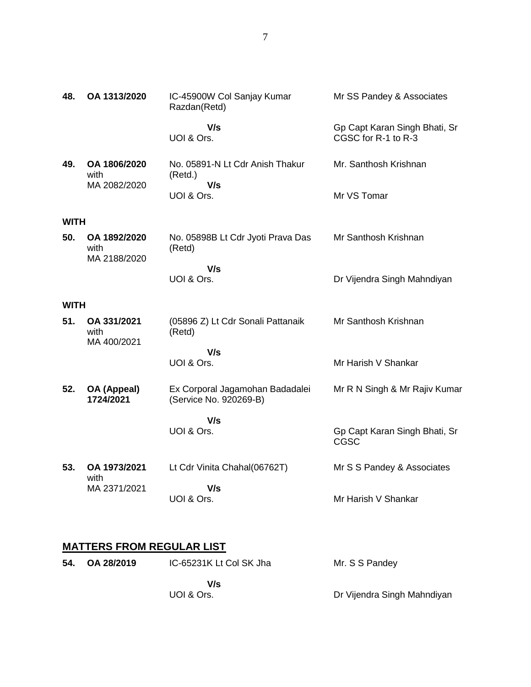| 48.         | OA 1313/2020                         | IC-45900W Col Sanjay Kumar<br>Razdan(Retd)                | Mr SS Pandey & Associates                            |
|-------------|--------------------------------------|-----------------------------------------------------------|------------------------------------------------------|
|             |                                      | V/s<br>UOI & Ors.                                         | Gp Capt Karan Singh Bhati, Sr<br>CGSC for R-1 to R-3 |
| 49.         | OA 1806/2020<br>with<br>MA 2082/2020 | No. 05891-N Lt Cdr Anish Thakur<br>(Retd.)<br>V/s         | Mr. Santhosh Krishnan                                |
|             |                                      | UOI & Ors.                                                | Mr VS Tomar                                          |
| <b>WITH</b> |                                      |                                                           |                                                      |
| 50.         | OA 1892/2020<br>with<br>MA 2188/2020 | No. 05898B Lt Cdr Jyoti Prava Das<br>(Retd)               | Mr Santhosh Krishnan                                 |
|             |                                      | V/s<br>UOI & Ors.                                         | Dr Vijendra Singh Mahndiyan                          |
| <b>WITH</b> |                                      |                                                           |                                                      |
| 51.         | OA 331/2021<br>with<br>MA 400/2021   | (05896 Z) Lt Cdr Sonali Pattanaik<br>(Retd)               | Mr Santhosh Krishnan                                 |
|             |                                      | V/s                                                       |                                                      |
|             |                                      | UOI & Ors.                                                | Mr Harish V Shankar                                  |
| 52.         | OA (Appeal)<br>1724/2021             | Ex Corporal Jagamohan Badadalei<br>(Service No. 920269-B) | Mr R N Singh & Mr Rajiv Kumar                        |
|             |                                      | V/s                                                       |                                                      |
|             |                                      | UOI & Ors.                                                | Gp Capt Karan Singh Bhati, Sr<br>CGSC                |
| 53.         | OA 1973/2021<br>with                 | Lt Cdr Vinita Chahal(06762T)                              | Mr S S Pandey & Associates                           |
|             | MA 2371/2021                         | V/s<br>UOI & Ors.                                         | Mr Harish V Shankar                                  |

# **MATTERS FROM REGULAR LIST**

| 54. | OA 28/2019 | IC-65231K Lt Col SK Jha | Mr. S S Pandey              |
|-----|------------|-------------------------|-----------------------------|
|     |            | V/s<br>UOI & Ors.       | Dr Vijendra Singh Mahndiyan |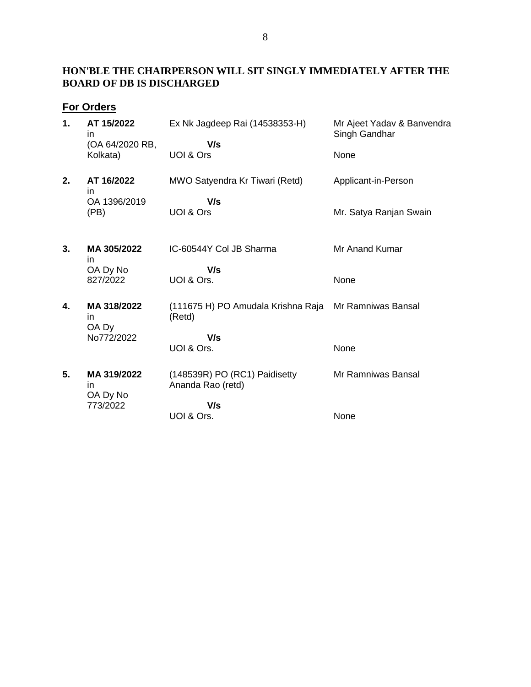## **HON'BLE THE CHAIRPERSON WILL SIT SINGLY IMMEDIATELY AFTER THE BOARD OF DB IS DISCHARGED**

# **For Orders**

| 1. | AT 15/2022<br>in<br>(OA 64/2020 RB,<br>Kolkata) | Ex Nk Jagdeep Rai (14538353-H)<br>V/s<br>UOI & Ors | Mr Ajeet Yadav & Banvendra<br>Singh Gandhar<br>None |
|----|-------------------------------------------------|----------------------------------------------------|-----------------------------------------------------|
| 2. | AT 16/2022<br>in<br>OA 1396/2019                | MWO Satyendra Kr Tiwari (Retd)<br>V/s              | Applicant-in-Person                                 |
|    | (PB)                                            | UOI & Ors                                          | Mr. Satya Ranjan Swain                              |
| 3. | MA 305/2022<br>in                               | IC-60544Y Col JB Sharma                            | Mr Anand Kumar                                      |
|    | OA Dy No<br>827/2022                            | V/s<br>UOI & Ors.                                  | None                                                |
| 4. | MA 318/2022<br>in.<br>OA Dy                     | (111675 H) PO Amudala Krishna Raja<br>(Retd)       | Mr Ramniwas Bansal                                  |
|    | No772/2022                                      | V/s<br>UOI & Ors.                                  | None                                                |
| 5. | MA 319/2022<br>in<br>OA Dy No                   | (148539R) PO (RC1) Paidisetty<br>Ananda Rao (retd) | Mr Ramniwas Bansal                                  |
|    | 773/2022                                        | V/s<br>UOI & Ors.                                  | None                                                |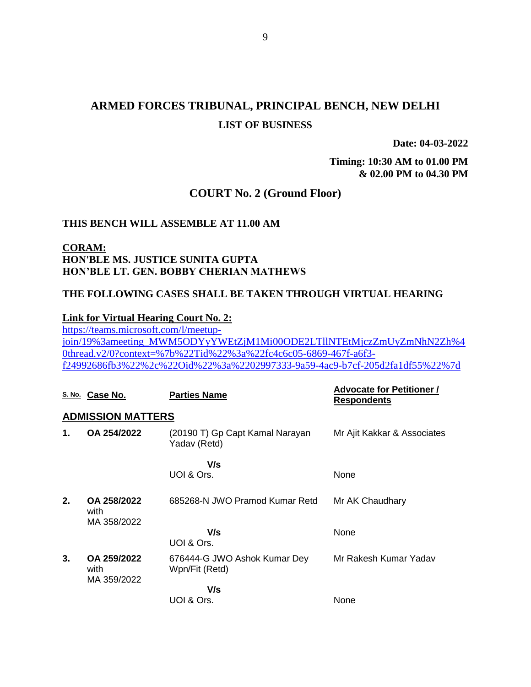# **ARMED FORCES TRIBUNAL, PRINCIPAL BENCH, NEW DELHI LIST OF BUSINESS**

**Date: 04-03-2022**

**Timing: 10:30 AM to 01.00 PM & 02.00 PM to 04.30 PM**

### **COURT No. 2 (Ground Floor)**

#### **THIS BENCH WILL ASSEMBLE AT 11.00 AM**

## **CORAM: HON'BLE MS. JUSTICE SUNITA GUPTA HON'BLE LT. GEN. BOBBY CHERIAN MATHEWS**

#### **THE FOLLOWING CASES SHALL BE TAKEN THROUGH VIRTUAL HEARING**

#### **Link for Virtual Hearing Court No. 2:**

[https://teams.microsoft.com/l/meetup](https://teams.microsoft.com/l/meetup-join/19%3ameeting_MWM5ODYyYWEtZjM1Mi00ODE2LTllNTEtMjczZmUyZmNhN2Zh%40thread.v2/0?context=%7b%22Tid%22%3a%22fc4c6c05-6869-467f-a6f3-f24992686fb3%22%2c%22Oid%22%3a%2202997333-9a59-4ac9-b7cf-205d2fa1df55%22%7d)[join/19%3ameeting\\_MWM5ODYyYWEtZjM1Mi00ODE2LTllNTEtMjczZmUyZmNhN2Zh%4](https://teams.microsoft.com/l/meetup-join/19%3ameeting_MWM5ODYyYWEtZjM1Mi00ODE2LTllNTEtMjczZmUyZmNhN2Zh%40thread.v2/0?context=%7b%22Tid%22%3a%22fc4c6c05-6869-467f-a6f3-f24992686fb3%22%2c%22Oid%22%3a%2202997333-9a59-4ac9-b7cf-205d2fa1df55%22%7d) [0thread.v2/0?context=%7b%22Tid%22%3a%22fc4c6c05-6869-467f-a6f3](https://teams.microsoft.com/l/meetup-join/19%3ameeting_MWM5ODYyYWEtZjM1Mi00ODE2LTllNTEtMjczZmUyZmNhN2Zh%40thread.v2/0?context=%7b%22Tid%22%3a%22fc4c6c05-6869-467f-a6f3-f24992686fb3%22%2c%22Oid%22%3a%2202997333-9a59-4ac9-b7cf-205d2fa1df55%22%7d) [f24992686fb3%22%2c%22Oid%22%3a%2202997333-9a59-4ac9-b7cf-205d2fa1df55%22%7d](https://teams.microsoft.com/l/meetup-join/19%3ameeting_MWM5ODYyYWEtZjM1Mi00ODE2LTllNTEtMjczZmUyZmNhN2Zh%40thread.v2/0?context=%7b%22Tid%22%3a%22fc4c6c05-6869-467f-a6f3-f24992686fb3%22%2c%22Oid%22%3a%2202997333-9a59-4ac9-b7cf-205d2fa1df55%22%7d)

|             | S. No. Case No.                    | <b>Parties Name</b>                             | <b>Advocate for Petitioner /</b><br><b>Respondents</b> |
|-------------|------------------------------------|-------------------------------------------------|--------------------------------------------------------|
|             | <b>ADMISSION MATTERS</b>           |                                                 |                                                        |
| $\mathbf 1$ | OA 254/2022                        | (20190 T) Gp Capt Kamal Narayan<br>Yadav (Retd) | Mr Ajit Kakkar & Associates                            |
|             |                                    | V/s                                             |                                                        |
|             |                                    | UOI & Ors.                                      | None                                                   |
| 2.          | OA 258/2022<br>with<br>MA 358/2022 | 685268-N JWO Pramod Kumar Retd                  | Mr AK Chaudhary                                        |
|             |                                    | V/s<br>UOI & Ors.                               | None                                                   |
| 3.          | OA 259/2022<br>with<br>MA 359/2022 | 676444-G JWO Ashok Kumar Dey<br>Wpn/Fit (Retd)  | Mr Rakesh Kumar Yadav                                  |
|             |                                    | V/s                                             |                                                        |
|             |                                    | UOI & Ors.                                      | None                                                   |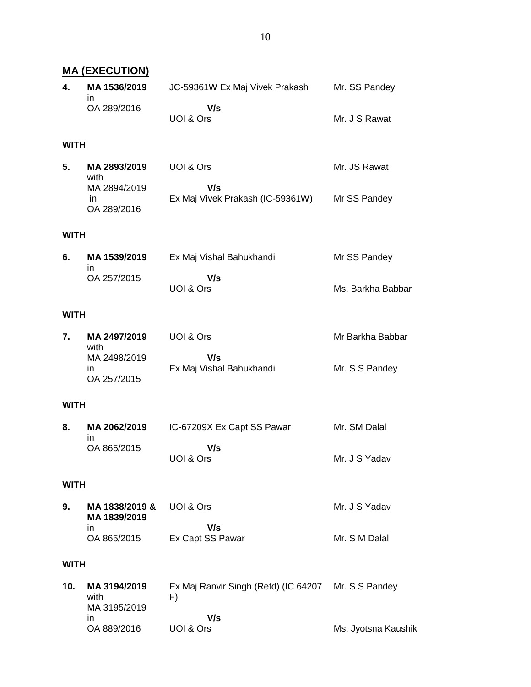|      | <u>MA (EXECUTION)</u>                                      |                                                                  |                                    |
|------|------------------------------------------------------------|------------------------------------------------------------------|------------------------------------|
| 4.   | MA 1536/2019                                               | JC-59361W Ex Maj Vivek Prakash                                   | Mr. SS Pandey                      |
|      | in.<br>OA 289/2016                                         | V/s<br>UOI & Ors                                                 | Mr. J S Rawat                      |
| WITH |                                                            |                                                                  |                                    |
| 5.   | MA 2893/2019<br>with<br>MA 2894/2019<br>in.<br>OA 289/2016 | UOI & Ors<br>V/s<br>Ex Maj Vivek Prakash (IC-59361W)             | Mr. JS Rawat<br>Mr SS Pandey       |
| WITH |                                                            |                                                                  |                                    |
|      |                                                            |                                                                  |                                    |
| 6.   | MA 1539/2019<br>in                                         | Ex Maj Vishal Bahukhandi                                         | Mr SS Pandey                       |
|      | OA 257/2015                                                | V/s<br>UOI & Ors                                                 | Ms. Barkha Babbar                  |
| WITH |                                                            |                                                                  |                                    |
| 7.   | MA 2497/2019<br>with<br>MA 2498/2019<br>in.<br>OA 257/2015 | UOI & Ors<br>V/s<br>Ex Maj Vishal Bahukhandi                     | Mr Barkha Babbar<br>Mr. S S Pandey |
| WITH |                                                            |                                                                  |                                    |
| 8.   | MA 2062/2019<br>in.<br>OA 865/2015                         | IC-67209X Ex Capt SS Pawar<br>V/s<br>UOI & Ors                   | Mr. SM Dalal<br>Mr. J S Yadav      |
| WITH |                                                            |                                                                  |                                    |
| 9.   | MA 1838/2019 &<br>MA 1839/2019<br>in.<br>OA 865/2015       | UOI & Ors<br>V/s<br>Ex Capt SS Pawar                             | Mr. J S Yadav<br>Mr. S M Dalal     |
| WITH |                                                            |                                                                  |                                    |
| 10.  | MA 3194/2019<br>with<br>MA 3195/2019<br>in.                | Ex Maj Ranvir Singh (Retd) (IC 64207 Mr. S S Pandey<br>F)<br>V/s |                                    |
|      | OA 889/2016                                                | UOI & Ors                                                        | Ms. Jyotsna Kaushik                |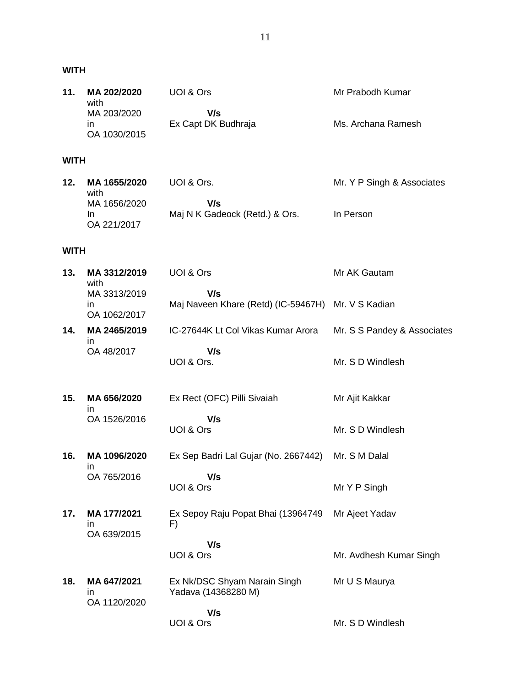## **WITH**

| 11 <sub>1</sub> | MA 202/2020<br>with          | UOI & Ors                  | Mr Prabodh Kumar   |
|-----------------|------------------------------|----------------------------|--------------------|
|                 | MA 203/2020                  | V/s<br>Ex Capt DK Budhraja | Ms. Archana Ramesh |
|                 | $\mathsf{I}$<br>OA 1030/2015 |                            |                    |

# **WITH**

| 12. | MA 1655/2020 | UOI & Ors.                     | Mr. Y P Singh & Associates |
|-----|--------------|--------------------------------|----------------------------|
|     | with         |                                |                            |
|     | MA 1656/2020 | V/s                            |                            |
|     | In           | Maj N K Gadeock (Retd.) & Ors. | In Person                  |
|     | OA 221/2017  |                                |                            |

# **WITH**

| 13. | MA 3312/2019<br>with               | UOI & Ors                                           | Mr AK Gautam                |
|-----|------------------------------------|-----------------------------------------------------|-----------------------------|
|     | MA 3313/2019<br>ın<br>OA 1062/2017 | V/s<br>Maj Naveen Khare (Retd) (IC-59467H)          | Mr. V S Kadian              |
| 14. | MA 2465/2019                       | IC-27644K Lt Col Vikas Kumar Arora                  | Mr. S S Pandey & Associates |
|     | in.<br>OA 48/2017                  | V/s<br>UOI & Ors.                                   | Mr. S D Windlesh            |
| 15. | MA 656/2020<br>in                  | Ex Rect (OFC) Pilli Sivaiah                         | Mr Ajit Kakkar              |
|     | OA 1526/2016                       | V/s<br>UOI & Ors                                    | Mr. S D Windlesh            |
| 16. | MA 1096/2020<br>in                 | Ex Sep Badri Lal Gujar (No. 2667442)                | Mr. S M Dalal               |
|     | OA 765/2016                        | V/s<br>UOI & Ors                                    | Mr Y P Singh                |
| 17. | MA 177/2021<br>ın                  | Ex Sepoy Raju Popat Bhai (13964749<br>F)            | Mr Ajeet Yadav              |
|     | OA 639/2015                        | V/s<br>UOI & Ors                                    | Mr. Avdhesh Kumar Singh     |
| 18. | MA 647/2021<br>ın<br>OA 1120/2020  | Ex Nk/DSC Shyam Narain Singh<br>Yadava (14368280 M) | Mr U S Maurya               |
|     |                                    | V/s<br>UOI & Ors                                    | Mr. S D Windlesh            |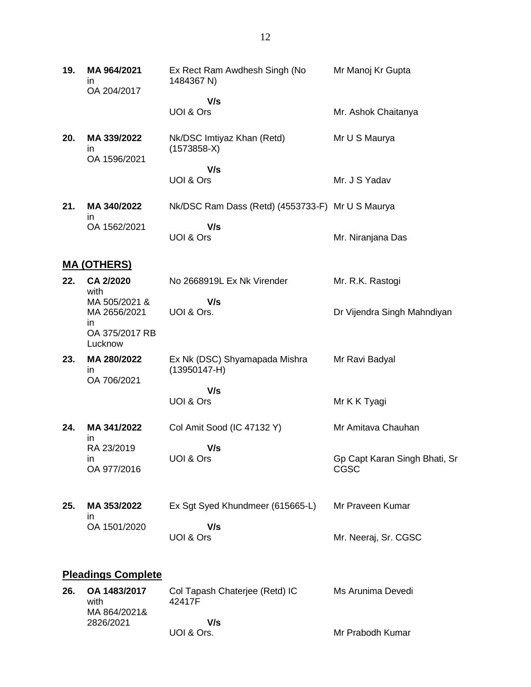**19. MA 964/2021** in OA 204/2017 Ex Rect Ram Awdhesh Singh (No 1484367 N)  **V/s** UOI & Ors Mr Manoj Kr Gupta Mr. Ashok Chaitanya **20. MA 339/2022** in OA 1596/2021 Nk/DSC Imtiyaz Khan (Retd) (1573858-X)  **V/s** UOI & Ors Mr U S Maurya Mr. J S Yadav **21. MA 340/2022** in OA 1562/2021 Nk/DSC Ram Dass (Retd) (4553733-F) Mr U S Maurya  **V/s** UOI & Ors Mr. Niranjana Das **MA (OTHERS) 22. CA 2/2020** with MA 505/2021 & MA 2656/2021 in OA 375/2017 RB Lucknow No 2668919L Ex Nk Virender  **V/s** UOI & Ors. Mr. R.K. Rastogi Dr Vijendra Singh Mahndiyan **23. MA 280/2022** in OA 706/2021 Ex Nk (DSC) Shyamapada Mishra (13950147-H)  **V/s** UOI & Ors Mr Ravi Badyal Mr K K Tyagi **24. MA 341/2022** in RA 23/2019 in OA 977/2016 Col Amit Sood (IC 47132 Y)  **V/s** UOI & Ors Mr Amitava Chauhan Gp Capt Karan Singh Bhati, Sr CGSC **25. MA 353/2022** in OA 1501/2020 Ex Sgt Syed Khundmeer (615665-L)  **V/s** UOI & Ors Mr Praveen Kumar Mr. Neeraj, Sr. CGSC **Pleadings Complete 26. OA 1483/2017** Col Tapash Chaterjee (Retd) IC Ms Arunima Devedi

| --- | $5 - 175$<br>with | <b>UU TAPAUL UHANTUU (TWA) TU</b><br>42417F | 1919 / 11 91 111 119 120 120 1 |
|-----|-------------------|---------------------------------------------|--------------------------------|
|     |                   |                                             |                                |
|     | MA 864/2021&      |                                             |                                |
|     | 2826/2021         | V/s                                         |                                |
|     |                   | UOI & Ors.                                  | Mr Prabodh Kumar               |
|     |                   |                                             |                                |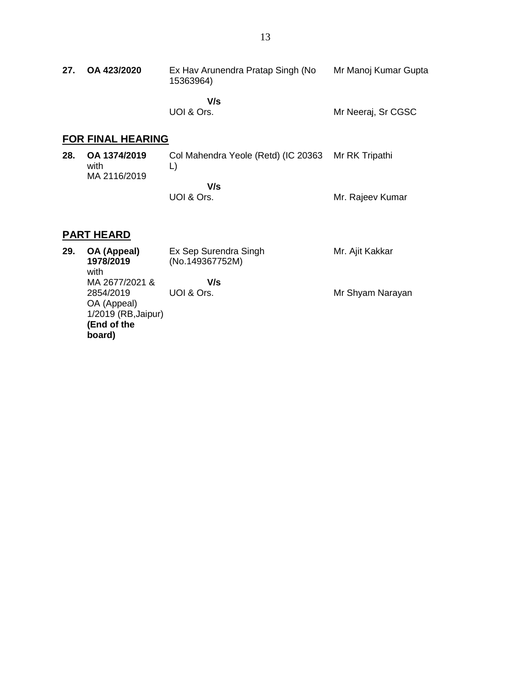| 27. OA 423/2020 | Ex Hav Arunendra Pratap Singh (No<br>15363964) | Mr Manoj Kumar Gupta |
|-----------------|------------------------------------------------|----------------------|
|                 |                                                |                      |

 **V/s** UOI & Ors.

Mr Neeraj, Sr CGSC

# **FOR FINAL HEARING**

| 28. | OA 1374/2019<br>with<br>MA 2116/2019 | Col Mahendra Yeole (Retd) (IC 20363 Mr RK Tripathi |                  |
|-----|--------------------------------------|----------------------------------------------------|------------------|
|     |                                      | V/s                                                |                  |
|     |                                      | UOI & Ors.                                         | Mr. Rajeev Kumar |

# **PART HEARD**

| 29. | OA (Appeal)<br>1978/2019<br>with | Ex Sep Surendra Singh<br>(No.149367752M) | Mr. Ajit Kakkar  |
|-----|----------------------------------|------------------------------------------|------------------|
|     | MA 2677/2021 &                   | V/s                                      |                  |
|     | 2854/2019                        | UOI & Ors.                               | Mr Shyam Narayan |
|     | OA (Appeal)                      |                                          |                  |
|     | 1/2019 (RB, Jaipur)              |                                          |                  |
|     | (End of the                      |                                          |                  |
|     | board)                           |                                          |                  |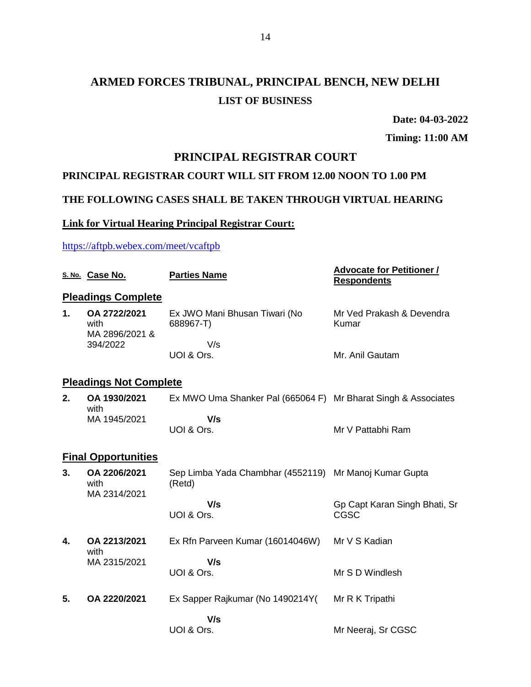# **ARMED FORCES TRIBUNAL, PRINCIPAL BENCH, NEW DELHI LIST OF BUSINESS**

**Date: 04-03-2022**

**Timing: 11:00 AM**

### **PRINCIPAL REGISTRAR COURT**

## **PRINCIPAL REGISTRAR COURT WILL SIT FROM 12.00 NOON TO 1.00 PM**

## **THE FOLLOWING CASES SHALL BE TAKEN THROUGH VIRTUAL HEARING**

## **Link for Virtual Hearing Principal Registrar Court:**

<https://aftpb.webex.com/meet/vcaftpb>

|               | S. No. Case No.                        | <b>Parties Name</b>                                              | <b>Advocate for Petitioner /</b><br><b>Respondents</b> |
|---------------|----------------------------------------|------------------------------------------------------------------|--------------------------------------------------------|
|               | <b>Pleadings Complete</b>              |                                                                  |                                                        |
| $\mathbf 1$ . | OA 2722/2021<br>with<br>MA 2896/2021 & | Ex JWO Mani Bhusan Tiwari (No<br>688967-T)                       | Mr Ved Prakash & Devendra<br>Kumar                     |
|               | 394/2022                               | V/s<br>UOI & Ors.                                                | Mr. Anil Gautam                                        |
|               | <b>Pleadings Not Complete</b>          |                                                                  |                                                        |
| 2.            | OA 1930/2021<br>with                   | Ex MWO Uma Shanker Pal (665064 F) Mr Bharat Singh & Associates   |                                                        |
|               | MA 1945/2021                           | V/s<br>UOI & Ors.                                                | Mr V Pattabhi Ram                                      |
|               | <b>Final Opportunities</b>             |                                                                  |                                                        |
| 3.            | OA 2206/2021<br>with<br>MA 2314/2021   | Sep Limba Yada Chambhar (4552119) Mr Manoj Kumar Gupta<br>(Retd) |                                                        |
|               |                                        | V/s<br>UOI & Ors.                                                | Gp Capt Karan Singh Bhati, Sr<br><b>CGSC</b>           |
| 4.            | OA 2213/2021<br>with                   | Ex Rfn Parveen Kumar (16014046W)                                 | Mr V S Kadian                                          |
|               | MA 2315/2021                           | V/s<br>UOI & Ors.                                                | Mr S D Windlesh                                        |
| 5.            | OA 2220/2021                           | Ex Sapper Rajkumar (No 1490214Y)                                 | Mr R K Tripathi                                        |
|               |                                        | V/s                                                              |                                                        |
|               |                                        | UOI & Ors.                                                       | Mr Neeraj, Sr CGSC                                     |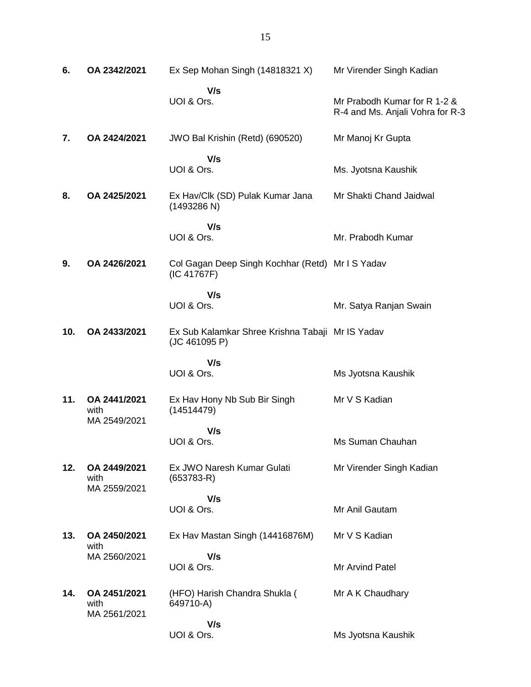| 6.  | OA 2342/2021                         | Ex Sep Mohan Singh (14818321 X)                                   | Mr Virender Singh Kadian                                         |
|-----|--------------------------------------|-------------------------------------------------------------------|------------------------------------------------------------------|
|     |                                      | V/s<br>UOI & Ors.                                                 | Mr Prabodh Kumar for R 1-2 &<br>R-4 and Ms. Anjali Vohra for R-3 |
| 7.  | OA 2424/2021                         | JWO Bal Krishin (Retd) (690520)                                   | Mr Manoj Kr Gupta                                                |
|     |                                      | V/s<br>UOI & Ors.                                                 | Ms. Jyotsna Kaushik                                              |
| 8.  | OA 2425/2021                         | Ex Hav/Clk (SD) Pulak Kumar Jana<br>(1493286 N)                   | Mr Shakti Chand Jaidwal                                          |
|     |                                      | V/s<br>UOI & Ors.                                                 | Mr. Prabodh Kumar                                                |
| 9.  | OA 2426/2021                         | Col Gagan Deep Singh Kochhar (Retd) Mr I S Yadav<br>(IC 41767F)   |                                                                  |
|     |                                      | V/s<br>UOI & Ors.                                                 | Mr. Satya Ranjan Swain                                           |
| 10. | OA 2433/2021                         | Ex Sub Kalamkar Shree Krishna Tabaji Mr IS Yadav<br>(JC 461095 P) |                                                                  |
|     |                                      | V/s<br>UOI & Ors.                                                 | Ms Jyotsna Kaushik                                               |
| 11. | OA 2441/2021<br>with<br>MA 2549/2021 | Ex Hav Hony Nb Sub Bir Singh<br>(14514479)                        | Mr V S Kadian                                                    |
|     |                                      | V/s<br>UOI & Ors.                                                 | Ms Suman Chauhan                                                 |
| 12. | OA 2449/2021<br>with<br>MA 2559/2021 | Ex JWO Naresh Kumar Gulati<br>$(653783-R)$                        | Mr Virender Singh Kadian                                         |
|     |                                      | V/s<br>UOI & Ors.                                                 | Mr Anil Gautam                                                   |
| 13. | OA 2450/2021<br>with                 | Ex Hav Mastan Singh (14416876M)                                   | Mr V S Kadian                                                    |
|     | MA 2560/2021                         | V/s<br>UOI & Ors.                                                 | <b>Mr Arvind Patel</b>                                           |
| 14. | OA 2451/2021<br>with<br>MA 2561/2021 | (HFO) Harish Chandra Shukla (<br>649710-A)                        | Mr A K Chaudhary                                                 |
|     |                                      | V/s<br>UOI & Ors.                                                 | Ms Jyotsna Kaushik                                               |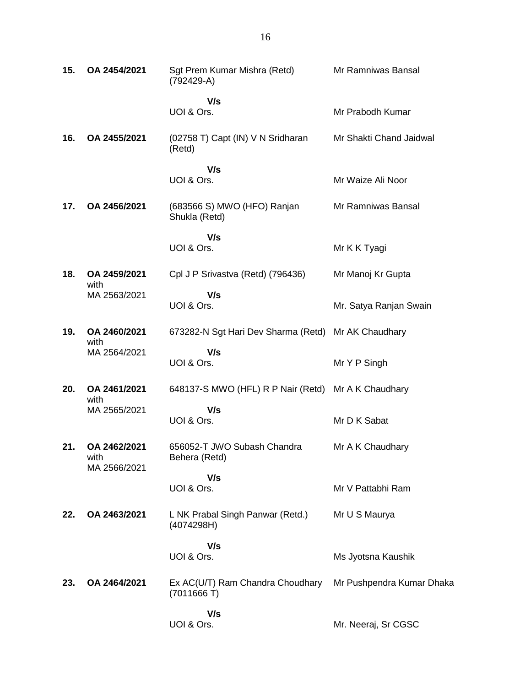| 15. | OA 2454/2021                         | Sgt Prem Kumar Mishra (Retd)<br>(792429-A)          | Mr Ramniwas Bansal        |
|-----|--------------------------------------|-----------------------------------------------------|---------------------------|
|     |                                      | V/s<br>UOI & Ors.                                   | Mr Prabodh Kumar          |
| 16. | OA 2455/2021                         | (02758 T) Capt (IN) V N Sridharan<br>(Retd)         | Mr Shakti Chand Jaidwal   |
|     |                                      | V/s<br>UOI & Ors.                                   | Mr Waize Ali Noor         |
| 17. | OA 2456/2021                         | (683566 S) MWO (HFO) Ranjan<br>Shukla (Retd)        | Mr Ramniwas Bansal        |
|     |                                      | V/s<br>UOI & Ors.                                   | Mr K K Tyagi              |
| 18. | OA 2459/2021<br>with                 | Cpl J P Srivastva (Retd) (796436)                   | Mr Manoj Kr Gupta         |
|     | MA 2563/2021                         | V/s<br>UOI & Ors.                                   | Mr. Satya Ranjan Swain    |
| 19. | OA 2460/2021<br>with                 | 673282-N Sgt Hari Dev Sharma (Retd) Mr AK Chaudhary |                           |
|     | MA 2564/2021                         | V/s<br>UOI & Ors.                                   | Mr Y P Singh              |
| 20. | OA 2461/2021<br>with                 | 648137-S MWO (HFL) R P Nair (Retd)                  | Mr A K Chaudhary          |
|     | MA 2565/2021                         | V/s<br>UOI & Ors.                                   | Mr D K Sabat              |
| 21. | OA 2462/2021<br>with<br>MA 2566/2021 | 656052-T JWO Subash Chandra<br>Behera (Retd)        | Mr A K Chaudhary          |
|     |                                      | V/s<br>UOI & Ors.                                   | Mr V Pattabhi Ram         |
| 22. | OA 2463/2021                         | L NK Prabal Singh Panwar (Retd.)<br>(4074298H)      | Mr U S Maurya             |
|     |                                      | V/s<br>UOI & Ors.                                   |                           |
|     |                                      |                                                     | Ms Jyotsna Kaushik        |
| 23. | OA 2464/2021                         | Ex AC(U/T) Ram Chandra Choudhary<br>(7011666 T)     | Mr Pushpendra Kumar Dhaka |
|     |                                      | V/s<br>UOI & Ors.                                   | Mr. Neeraj, Sr CGSC       |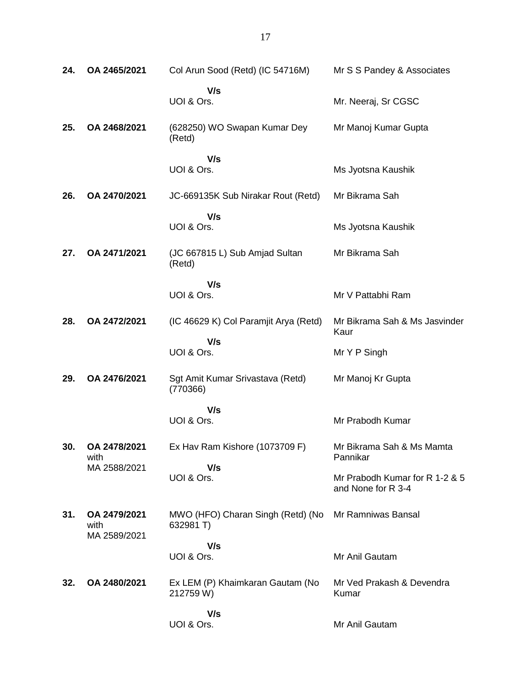| 24. | OA 2465/2021                         | Col Arun Sood (Retd) (IC 54716M)               | Mr S S Pandey & Associates                           |
|-----|--------------------------------------|------------------------------------------------|------------------------------------------------------|
|     |                                      | V/s<br>UOI & Ors.                              | Mr. Neeraj, Sr CGSC                                  |
| 25. | OA 2468/2021                         | (628250) WO Swapan Kumar Dey<br>(Retd)         | Mr Manoj Kumar Gupta                                 |
|     |                                      | V/s<br>UOI & Ors.                              | Ms Jyotsna Kaushik                                   |
| 26. | OA 2470/2021                         | JC-669135K Sub Nirakar Rout (Retd)             | Mr Bikrama Sah                                       |
|     |                                      | V/s<br>UOI & Ors.                              | Ms Jyotsna Kaushik                                   |
| 27. | OA 2471/2021                         | (JC 667815 L) Sub Amjad Sultan<br>(Retd)       | Mr Bikrama Sah                                       |
|     |                                      | V/s<br>UOI & Ors.                              | Mr V Pattabhi Ram                                    |
| 28. | OA 2472/2021                         | (IC 46629 K) Col Paramjit Arya (Retd)          | Mr Bikrama Sah & Ms Jasvinder<br>Kaur                |
|     |                                      | V/s<br>UOI & Ors.                              | Mr Y P Singh                                         |
| 29. | OA 2476/2021                         | Sgt Amit Kumar Srivastava (Retd)<br>(770366)   | Mr Manoj Kr Gupta                                    |
|     |                                      | V/s<br>UOI & Ors.                              | Mr Prabodh Kumar                                     |
| 30. | OA 2478/2021<br>with                 | Ex Hav Ram Kishore (1073709 F)                 | Mr Bikrama Sah & Ms Mamta<br>Pannikar                |
|     | MA 2588/2021                         | V/s<br>UOI & Ors.                              | Mr Prabodh Kumar for R 1-2 & 5<br>and None for R 3-4 |
| 31. | OA 2479/2021<br>with<br>MA 2589/2021 | MWO (HFO) Charan Singh (Retd) (No<br>632981 T) | Mr Ramniwas Bansal                                   |
|     |                                      | V/s<br>UOI & Ors.                              | Mr Anil Gautam                                       |
| 32. | OA 2480/2021                         | Ex LEM (P) Khaimkaran Gautam (No<br>212759 W)  | Mr Ved Prakash & Devendra<br>Kumar                   |
|     |                                      | V/s<br>UOI & Ors.                              | Mr Anil Gautam                                       |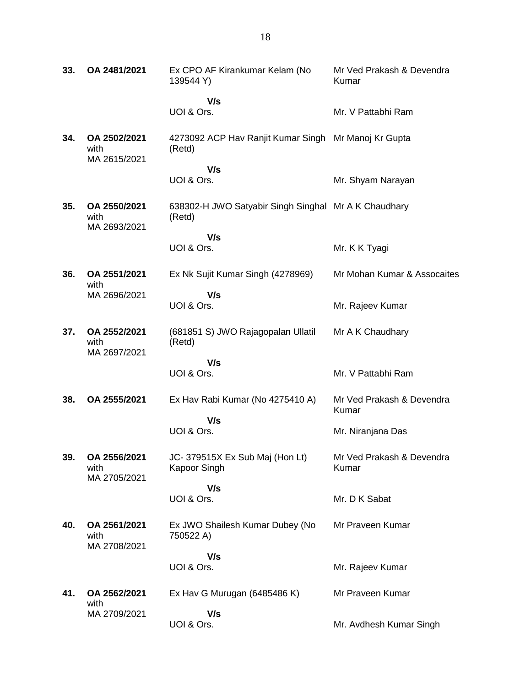| 33. | OA 2481/2021                         | Ex CPO AF Kirankumar Kelam (No<br>139544 Y)                    | Mr Ved Prakash & Devendra<br>Kumar |
|-----|--------------------------------------|----------------------------------------------------------------|------------------------------------|
|     |                                      | V/s                                                            |                                    |
|     |                                      | UOI & Ors.                                                     | Mr. V Pattabhi Ram                 |
| 34. | OA 2502/2021<br>with<br>MA 2615/2021 | 4273092 ACP Hav Ranjit Kumar Singh<br>(Retd)                   | Mr Manoj Kr Gupta                  |
|     |                                      | V/s<br>UOI & Ors.                                              | Mr. Shyam Narayan                  |
| 35. | OA 2550/2021<br>with                 | 638302-H JWO Satyabir Singh Singhal Mr A K Chaudhary<br>(Retd) |                                    |
|     | MA 2693/2021                         | V/s                                                            |                                    |
|     |                                      | UOI & Ors.                                                     | Mr. K K Tyagi                      |
| 36. | OA 2551/2021<br>with                 | Ex Nk Sujit Kumar Singh (4278969)                              | Mr Mohan Kumar & Assocaites        |
|     | MA 2696/2021                         | V/s                                                            |                                    |
|     |                                      | UOI & Ors.                                                     | Mr. Rajeev Kumar                   |
| 37. | OA 2552/2021<br>with<br>MA 2697/2021 | (681851 S) JWO Rajagopalan Ullatil<br>(Retd)                   | Mr A K Chaudhary                   |
|     |                                      | V/s                                                            |                                    |
|     |                                      | UOI & Ors.                                                     | Mr. V Pattabhi Ram                 |
| 38. | OA 2555/2021                         | Ex Hav Rabi Kumar (No 4275410 A)                               | Mr Ved Prakash & Devendra<br>Kumar |
|     |                                      | V/s<br>UOI & Ors.                                              | Mr. Niranjana Das                  |
| 39. | OA 2556/2021<br>with<br>MA 2705/2021 | JC-379515X Ex Sub Maj (Hon Lt)<br>Kapoor Singh                 | Mr Ved Prakash & Devendra<br>Kumar |
|     |                                      | V/s                                                            |                                    |
|     |                                      | UOI & Ors.                                                     | Mr. D K Sabat                      |
| 40. | OA 2561/2021<br>with<br>MA 2708/2021 | Ex JWO Shailesh Kumar Dubey (No<br>750522 A)                   | Mr Praveen Kumar                   |
|     |                                      | V/s                                                            |                                    |
|     |                                      | UOI & Ors.                                                     | Mr. Rajeev Kumar                   |
| 41. | OA 2562/2021<br>with                 | Ex Hav G Murugan (6485486 K)                                   | Mr Praveen Kumar                   |
|     | MA 2709/2021                         | V/s                                                            |                                    |
|     |                                      | UOI & Ors.                                                     | Mr. Avdhesh Kumar Singh            |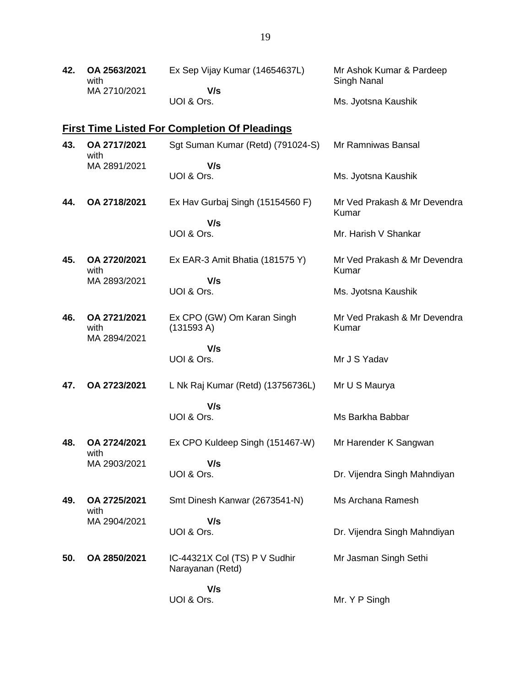| 42. | OA 2563/2021<br>with<br>MA 2710/2021 | Ex Sep Vijay Kumar (14654637L)<br>V/s                | Mr Ashok Kumar & Pardeep<br>Singh Nanal |
|-----|--------------------------------------|------------------------------------------------------|-----------------------------------------|
|     |                                      | UOI & Ors.                                           | Ms. Jyotsna Kaushik                     |
|     |                                      | <b>First Time Listed For Completion Of Pleadings</b> |                                         |
| 43. | OA 2717/2021<br>with                 | Sgt Suman Kumar (Retd) (791024-S)                    | Mr Ramniwas Bansal                      |
|     | MA 2891/2021                         | V/s<br>UOI & Ors.                                    | Ms. Jyotsna Kaushik                     |
| 44. | OA 2718/2021                         | Ex Hav Gurbaj Singh (15154560 F)                     | Mr Ved Prakash & Mr Devendra<br>Kumar   |
|     |                                      | V/s<br>UOI & Ors.                                    | Mr. Harish V Shankar                    |
| 45. | OA 2720/2021<br>with                 | Ex EAR-3 Amit Bhatia (181575 Y)                      | Mr Ved Prakash & Mr Devendra<br>Kumar   |
|     | MA 2893/2021                         | V/s<br>UOI & Ors.                                    | Ms. Jyotsna Kaushik                     |
| 46. | OA 2721/2021<br>with<br>MA 2894/2021 | Ex CPO (GW) Om Karan Singh<br>(131593 A)             | Mr Ved Prakash & Mr Devendra<br>Kumar   |
|     |                                      | V/s<br>UOI & Ors.                                    | Mr J S Yadav                            |
| 47. | OA 2723/2021                         | L Nk Raj Kumar (Retd) (13756736L)                    | Mr U S Maurya                           |
|     |                                      | V/s<br>UOI & Ors.                                    | Ms Barkha Babbar                        |
| 48. | OA 2724/2021<br>with                 | Ex CPO Kuldeep Singh (151467-W)                      | Mr Harender K Sangwan                   |
|     | MA 2903/2021                         | V/s<br>UOI & Ors.                                    | Dr. Vijendra Singh Mahndiyan            |
| 49. | OA 2725/2021<br>with                 | Smt Dinesh Kanwar (2673541-N)                        | Ms Archana Ramesh                       |
|     | MA 2904/2021                         | V/s<br>UOI & Ors.                                    | Dr. Vijendra Singh Mahndiyan            |
| 50. | OA 2850/2021                         | IC-44321X Col (TS) P V Sudhir<br>Narayanan (Retd)    | Mr Jasman Singh Sethi                   |
|     |                                      | V/s<br>UOI & Ors.                                    | Mr. Y P Singh                           |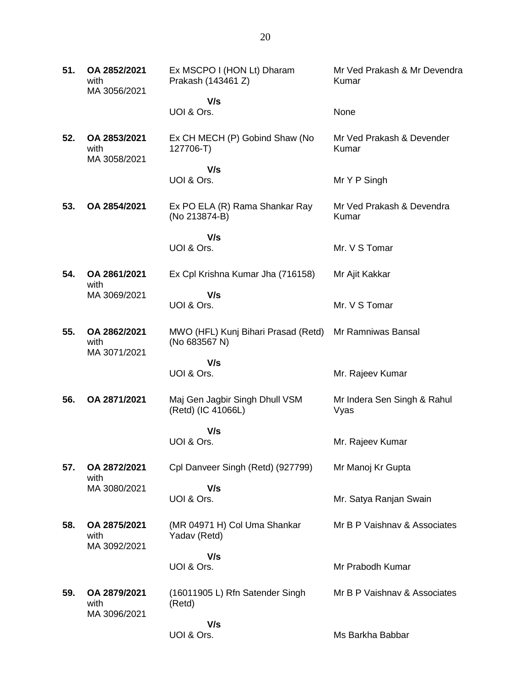**51. OA 2852/2021** with MA 3056/2021 Ex MSCPO I (HON Lt) Dharam Prakash (143461 Z)  **V/s** UOI & Ors. Mr Ved Prakash & Mr Devendra Kumar None **52. OA 2853/2021** with MA 3058/2021 Ex CH MECH (P) Gobind Shaw (No 127706-T)  **V/s** UOI & Ors. Mr Ved Prakash & Devender Kumar Mr Y P Singh **53. OA 2854/2021** Ex PO ELA (R) Rama Shankar Ray (No 213874-B)  **V/s** UOI & Ors. Mr Ved Prakash & Devendra Kumar Mr. V S Tomar **54. OA 2861/2021** with MA 3069/2021 Ex Cpl Krishna Kumar Jha (716158)  **V/s** UOI & Ors. Mr Ajit Kakkar Mr. V S Tomar **55. OA 2862/2021** with MA 3071/2021 MWO (HFL) Kunj Bihari Prasad (Retd) Mr Ramniwas Bansal (No 683567 N)  **V/s** UOI & Ors. Mr. Rajeev Kumar **56. OA 2871/2021** Maj Gen Jagbir Singh Dhull VSM (Retd) (IC 41066L)  **V/s** UOI & Ors. Mr Indera Sen Singh & Rahul Vyas Mr. Rajeev Kumar **57. OA 2872/2021** with MA 3080/2021 Cpl Danveer Singh (Retd) (927799)  **V/s** UOI & Ors. Mr Manoj Kr Gupta Mr. Satya Ranjan Swain **58. OA 2875/2021** with MA 3092/2021 (MR 04971 H) Col Uma Shankar Yadav (Retd)  **V/s** UOI & Ors. Mr B P Vaishnav & Associates Mr Prabodh Kumar **59. OA 2879/2021** with MA 3096/2021 (16011905 L) Rfn Satender Singh (Retd)  **V/s** UOI & Ors. Mr B P Vaishnav & Associates Ms Barkha Babbar